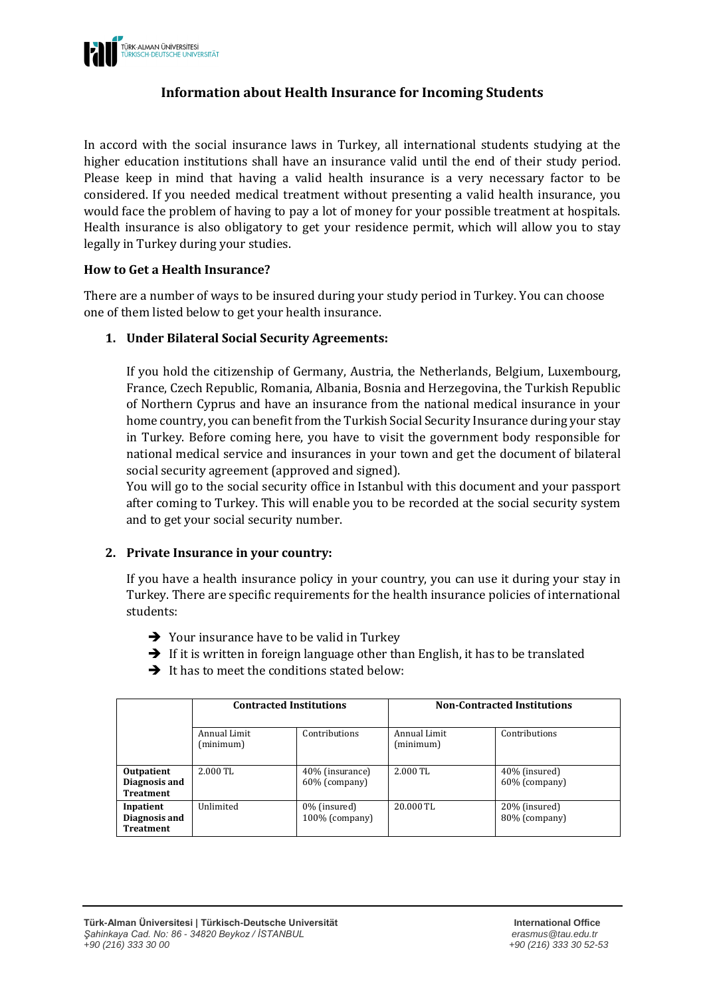

# **Information about Health Insurance for Incoming Students**

In accord with the social insurance laws in Turkey, all international students studying at the higher education institutions shall have an insurance valid until the end of their study period. Please keep in mind that having a valid health insurance is a very necessary factor to be considered. If you needed medical treatment without presenting a valid health insurance, you would face the problem of having to pay a lot of money for your possible treatment at hospitals. Health insurance is also obligatory to get your residence permit, which will allow you to stay legally in Turkey during your studies.

#### **How to Get a Health Insurance?**

There are a number of ways to be insured during your study period in Turkey. You can choose one of them listed below to get your health insurance.

## **1. Under Bilateral Social Security Agreements:**

If you hold the citizenship of Germany, Austria, the Netherlands, Belgium, Luxembourg, France, Czech Republic, Romania, Albania, Bosnia and Herzegovina, the Turkish Republic of Northern Cyprus and have an insurance from the national medical insurance in your home country, you can benefit from the Turkish Social Security Insurance during your stay in Turkey. Before coming here, you have to visit the government body responsible for national medical service and insurances in your town and get the document of bilateral social security agreement (approved and signed).

You will go to the social security office in Istanbul with this document and your passport after coming to Turkey. This will enable you to be recorded at the social security system and to get your social security number.

#### **2. Private Insurance in your country:**

If you have a health insurance policy in your country, you can use it during your stay in Turkey. There are specific requirements for the health insurance policies of international students:

- $\rightarrow$  Your insurance have to be valid in Turkey
- $\rightarrow$  If it is written in foreign language other than English, it has to be translated
- $\rightarrow$  It has to meet the conditions stated below:

|                                                 | <b>Contracted Institutions</b> |                                  | <b>Non-Contracted Institutions</b> |                                |
|-------------------------------------------------|--------------------------------|----------------------------------|------------------------------------|--------------------------------|
|                                                 | Annual Limit<br>(minimum)      | Contributions                    | Annual Limit<br>(minimum)          | Contributions                  |
| Outpatient<br>Diagnosis and<br><b>Treatment</b> | 2.000 TL                       | 40% (insurance)<br>60% (company) | $2.000$ TL                         | 40% (insured)<br>60% (company) |
| Inpatient<br>Diagnosis and<br><b>Treatment</b>  | Unlimited                      | 0% (insured)<br>100% (company)   | 20.000 TL                          | 20% (insured)<br>80% (company) |